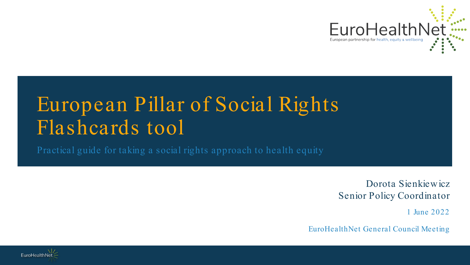

# European Pillar of Social Rights Flashcards tool

Practical guide for taking a social rights approach to health equity

Dorota Sienkiewicz Senior Policy Coordinator

1 June 2022

EuroHealthNet General Council Meeting

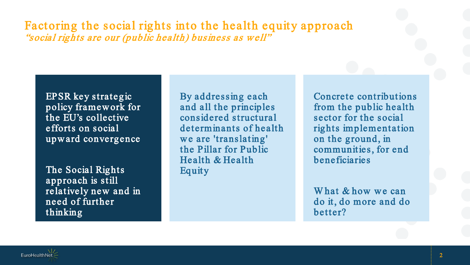## Factoring the social rights into the health equity approach "social rights are our (public health) business as well"

EPSR key strategic policy framew ork for the EU's collective efforts on social upward convergence

The Social Rights approach is still relatively new and in need of further thinking

By addressing each and all the principles considered structural determinants of health we are 'translating' the Pillar for Public Health & Health Equity

Concrete contributions from the public health sector for the social rights implementation on the ground, in communities, for end beneficiaries

What & how we can do it, do more and do better?

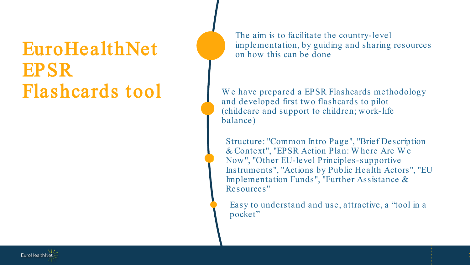## EuroHealthNet EPSR Flashcards tool

The aim is to facilitate the country-level implementation, by guiding and sharing resources on how this can be done

We have prepared a EPSR Flashcards methodology and developed first two flashcards to pilot (childcare and support to children; work-life balance)

Structure: "Common Intro Page", "Brief Description & Context", "EPSR Action Plan: W here Are W e Now", "Other EU-level Principles-supportive Instruments", "Actions by Public Health Actors", "EU Implementation Funds", "Further Assistance & Resources"

Easy to understand and use, attractive, a "tool in a pocket"

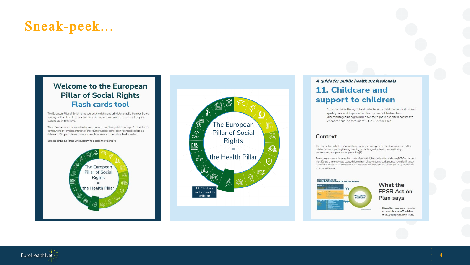## Sneak-peek…

### **Welcome to the European Pillar of Social Rights Flash cards tool**

The European Pillar of Social rights sets out the rights and principles that EU Member States have agreed must lie at the heart of our social-market economies, to ensure that they are sustainable and inclusive

These flashcards are designed to improve awareness of how public health professionals can contribute to the implementation of the Pillar of Social Rights. Each flashcard explores a different EPSR principle and demonstrate its relevance to the public health sector.

#### Select a principle in the wheel below to access the flashcard





### A guide for public health professionals 11. Childcare and support to children

"Children have the right to affordable early childhood education and quality care and to protection from poverty. Children from disadvantaged backgrounds have the right to specific measures to enhance equal opportunities" - EPSR Action Plan

#### Context

The time between birth and compulsory primary school age is the most formative period for children's lives impacting lifelong learning, social integration, health and wellbeing, development, and potential employability[1].

Parents on moderate incomes find costs of early childhood education and care (ECEC) to be very high. Due to these elevated costs, children from disadvantaged backgrounds have significantly lower attendance rates. Moreover, over 18 million children in the EU have grown up in poverty or social exclusion.



**What the EPSR Action** Plan says

· Education and care must be accessible and affordable to all young children inline

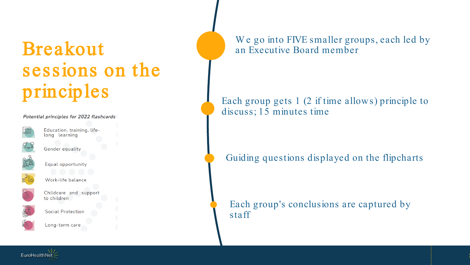## Breakout sessions on the principles

Potential principles for 2022 flashcards



Education, training, lifelong learning



Gender equality



Equal opportunity



Work-life balance



Childcare and support to children



**Social Protection** 

Long-term care

We go into FIVE smaller groups, each led by an Executive Board member

### Each group gets 1 (2 if time allows) principle to discuss; 15 minutes time

### Guiding questions displayed on the flipcharts

Each group's conclusions are captured by staff

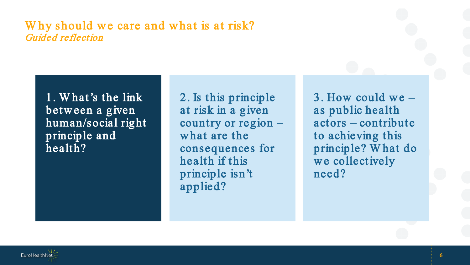## Why should we care and what is at risk? Guided reflection

1. W hat's the link betw een a given human/social right principle and health?

2. Is this principle at risk in a given country or region – what are the consequences for health if this principle isn't applied?

3. How could we – as public health actors – contribute to achieving this principle? W hat do we collectively need?